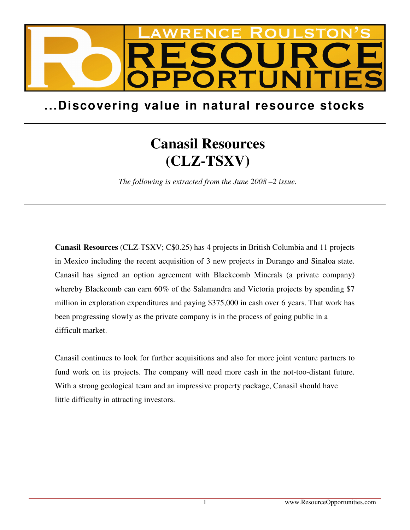

## **...Discovering value in natural resource stocks**

## **Canasil Resources (CLZ-TSXV)**

*The following is extracted from the June 2008 –2 issue.* 

**Canasil Resources** (CLZ-TSXV; C\$0.25) has 4 projects in British Columbia and 11 projects in Mexico including the recent acquisition of 3 new projects in Durango and Sinaloa state. Canasil has signed an option agreement with Blackcomb Minerals (a private company) whereby Blackcomb can earn 60% of the Salamandra and Victoria projects by spending \$7 million in exploration expenditures and paying \$375,000 in cash over 6 years. That work has been progressing slowly as the private company is in the process of going public in a difficult market.

Canasil continues to look for further acquisitions and also for more joint venture partners to fund work on its projects. The company will need more cash in the not-too-distant future. With a strong geological team and an impressive property package, Canasil should have little difficulty in attracting investors.